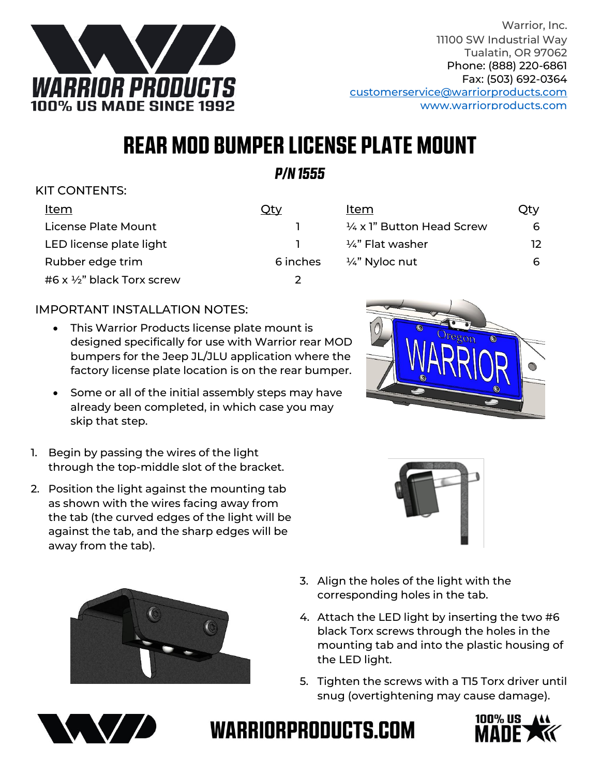

## **REAR MOD BUMPER LICENSE PLATE MOUNT**

## **P/N 1555**

| KIT CONTENTS:                         |          |                             |     |
|---------------------------------------|----------|-----------------------------|-----|
| Item                                  | Qty      | Item                        | Qty |
| License Plate Mount                   |          | 1/4 x 1" Button Head Screw  | 6   |
| LED license plate light               |          | $\frac{1}{4}$ " Flat washer | 12  |
| Rubber edge trim                      | 6 inches | $\frac{1}{4}$ " Nyloc nut   | 6   |
| #6 x $\frac{1}{2}$ " black Torx screw |          |                             |     |

## IMPORTANT INSTALLATION NOTES:

- This Warrior Products license plate mount is designed specifically for use with Warrior rear MOD bumpers for the Jeep JL/JLU application where the factory license plate location is on the rear bumper.
- Some or all of the initial assembly steps may have already been completed, in which case you may skip that step.
- 1. Begin by passing the wires of the light through the top-middle slot of the bracket.
- 2. Position the light against the mounting tab as shown with the wires facing away from the tab (the curved edges of the light will be against the tab, and the sharp edges will be away from the tab).







- 3. Align the holes of the light with the corresponding holes in the tab.
- 4. Attach the LED light by inserting the two #6 black Torx screws through the holes in the mounting tab and into the plastic housing of the LED light.
- 5. Tighten the screws with a T15 Torx driver until snug (overtightening may cause damage).



WARRIORPRODUCTS.COM